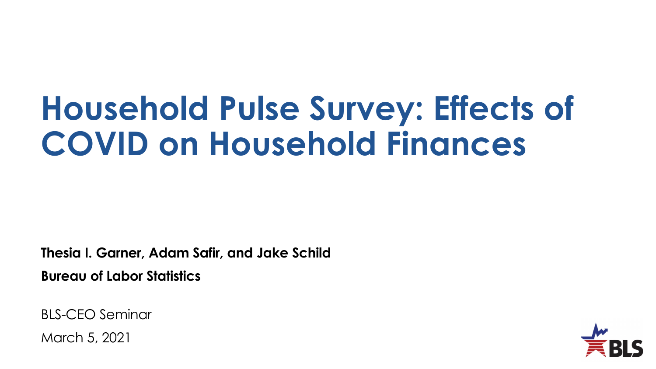# **Household Pulse Survey: Effects of COVID on Household Finances**

**Thesia I. Garner, Adam Safir, and Jake Schild Bureau of Labor Statistics**

BLS-CEO Seminar

March 5, 2021

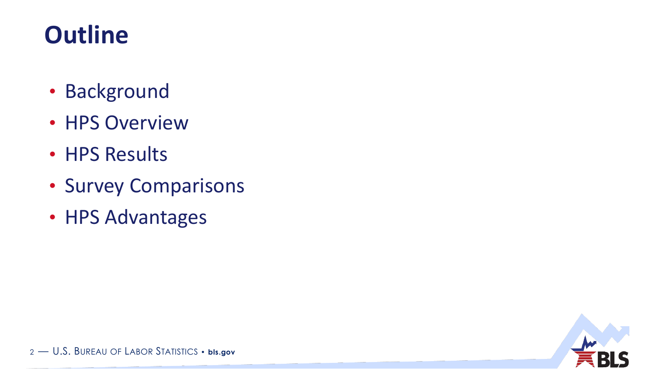### **Outline**

- Background
- HPS Overview
- HPS Results
- Survey Comparisons
- HPS Advantages

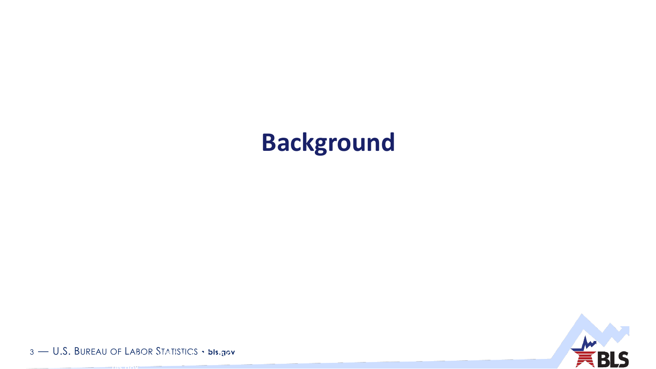### **Background**



3 — U.S. BUREAU OF LABOR STATISTICS • **bls.gov** <sup>3</sup> — U.S. BUREAU OF LABOR STATISTICS •

**bls.gov**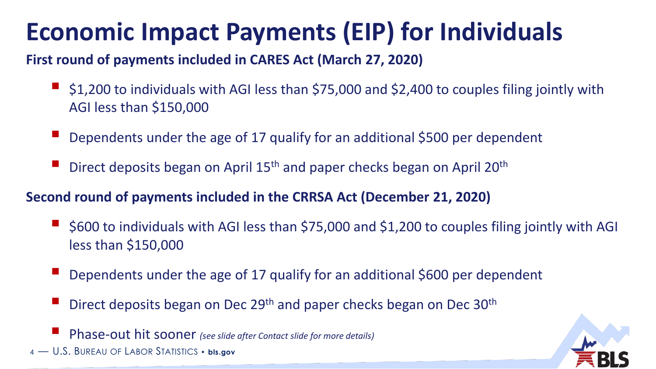### **Economic Impact Payments (EIP) for Individuals**

#### **First round of payments included in CARES Act (March 27, 2020)**

- \$1,200 to individuals with AGI less than \$75,000 and \$2,400 to couples filing jointly with AGI less than \$150,000
- Dependents under the age of 17 qualify for an additional \$500 per dependent
- Direct deposits began on April 15<sup>th</sup> and paper checks began on April 20<sup>th</sup>

#### **Second round of payments included in the CRRSA Act (December 21, 2020)**

- \$600 to individuals with AGI less than \$75,000 and \$1,200 to couples filing jointly with AGI less than \$150,000
- Dependents under the age of 17 qualify for an additional \$600 per dependent
- Direct deposits began on Dec 29<sup>th</sup> and paper checks began on Dec 30<sup>th</sup>

Phase-out hit sooner *(see slide after Contact slide for more details)*

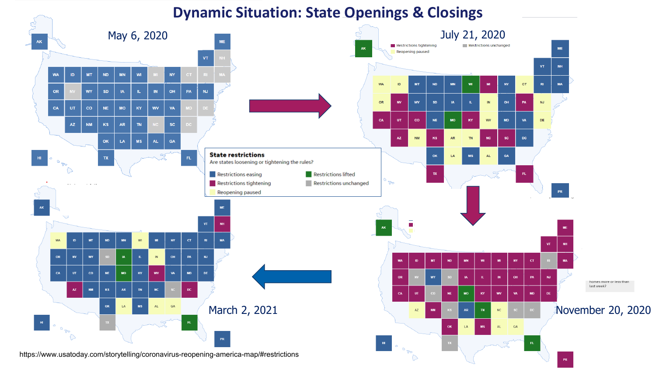#### **Dynamic Situation: State Openings & Closings**

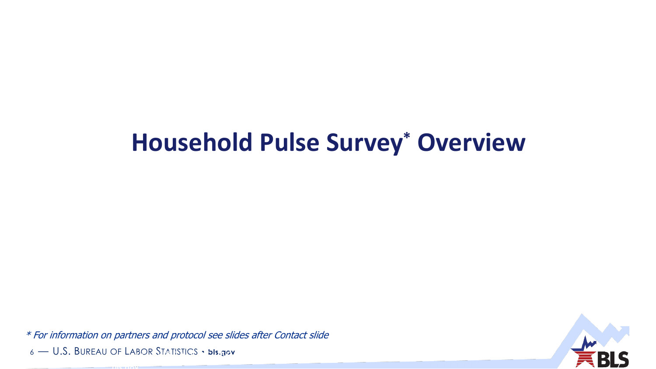#### **Household Pulse Survey\* Overview**

6 — U.S. BUREAU OF LABOR STATISTICS • **bls.gov** <sup>6</sup> — U.S. BUREAU OF LABOR STATISTICS • \* For information on partners and protocol see slides after Contact slide

**bls.gov**

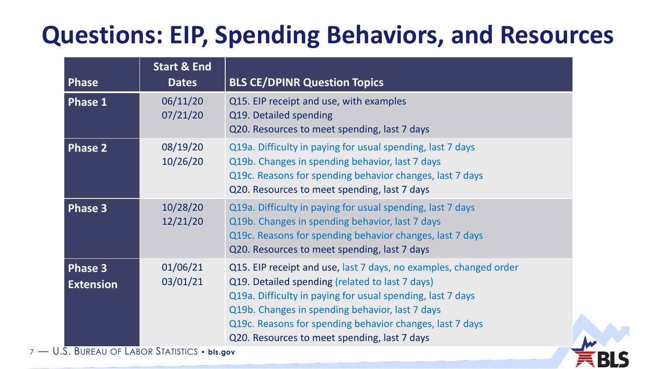### **Questions: EIP, Spending Behaviors, and Resources**

| <b>Phase</b>                       | <b>Start &amp; End</b><br><b>Dates</b>                              | <b>BLS CE/DPINR Question Topics</b>                                                                                                                                                                                                                                                                                                               |
|------------------------------------|---------------------------------------------------------------------|---------------------------------------------------------------------------------------------------------------------------------------------------------------------------------------------------------------------------------------------------------------------------------------------------------------------------------------------------|
| <b>Phase 1</b>                     | 06/11/20<br>07/21/20                                                | Q15. EIP receipt and use, with examples<br>Q19. Detailed spending<br>Q20. Resources to meet spending, last 7 days                                                                                                                                                                                                                                 |
| <b>Phase 2</b>                     | 08/19/20<br>10/26/20                                                | Q19a. Difficulty in paying for usual spending, last 7 days<br>Q19b. Changes in spending behavior, last 7 days<br>Q19c. Reasons for spending behavior changes, last 7 days<br>Q20. Resources to meet spending, last 7 days                                                                                                                         |
| <b>Phase 3</b>                     | 10/28/20<br>12/21/20                                                | Q19a. Difficulty in paying for usual spending, last 7 days<br>Q19b. Changes in spending behavior, last 7 days<br>Q19c. Reasons for spending behavior changes, last 7 days<br>Q20. Resources to meet spending, last 7 days                                                                                                                         |
| <b>Phase 3</b><br><b>Extension</b> | 01/06/21<br>03/01/21<br><b>BUREAU OF LAROR STATISTICS</b> . his gov | Q15. EIP receipt and use, last 7 days, no examples, changed order<br>Q19. Detailed spending (related to last 7 days)<br>Q19a. Difficulty in paying for usual spending, last 7 days<br>Q19b. Changes in spending behavior, last 7 days<br>Q19c. Reasons for spending behavior changes, last 7 days<br>Q20. Resources to meet spending, last 7 days |

 $7 - 0.5$ . Bureau of Labor Statistics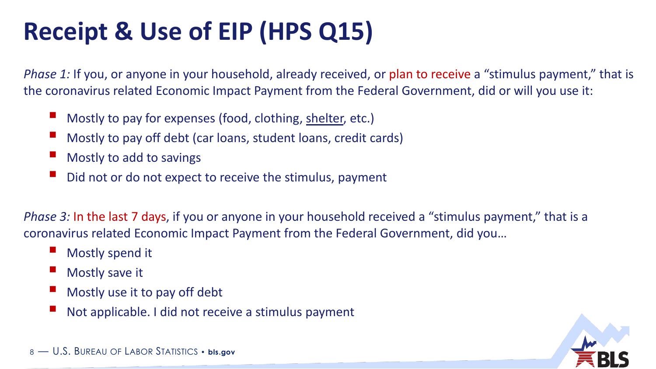### **Receipt & Use of EIP (HPS Q15)**

*Phase 1:* If you, or anyone in your household, already received, or plan to receive a "stimulus payment," that is the coronavirus related Economic Impact Payment from the Federal Government, did or will you use it:

- Mostly to pay for expenses (food, clothing, shelter, etc.)
- Mostly to pay off debt (car loans, student loans, credit cards)
- Mostly to add to savings
- Did not or do not expect to receive the stimulus, payment

*Phase 3:* In the last 7 days, if you or anyone in your household received a "stimulus payment," that is a coronavirus related Economic Impact Payment from the Federal Government, did you…

- Mostly spend it
- Mostly save it
- Mostly use it to pay off debt
- Not applicable. I did not receive a stimulus payment

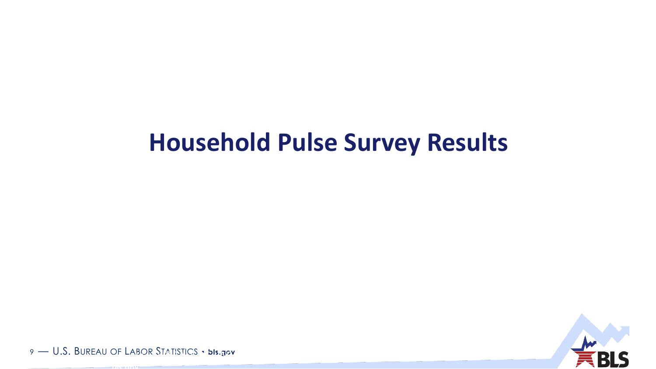#### **Household Pulse Survey Results**



9 — U.S. BUREAU OF LABOR STATISTICS • **bls.gov** <sup>9</sup> — U.S. BUREAU OF LABOR STATISTICS •

**bls.gov**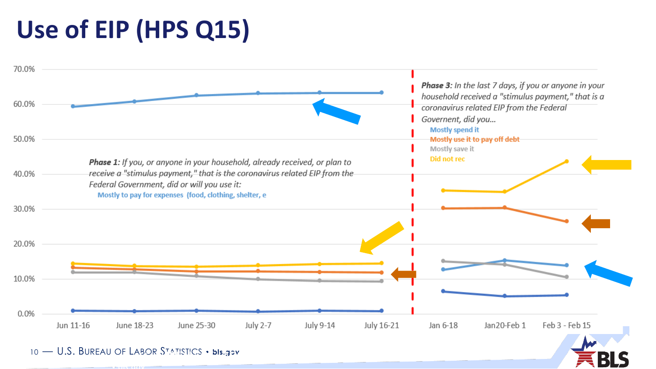### **Use of EIP (HPS Q15)**



10 — U.S. BUREAU OF LABOR STATISTICS • **bls.gov** <sup>10</sup> — U.S. BUREAU OF LABOR STATISTICS

• **bls.gov**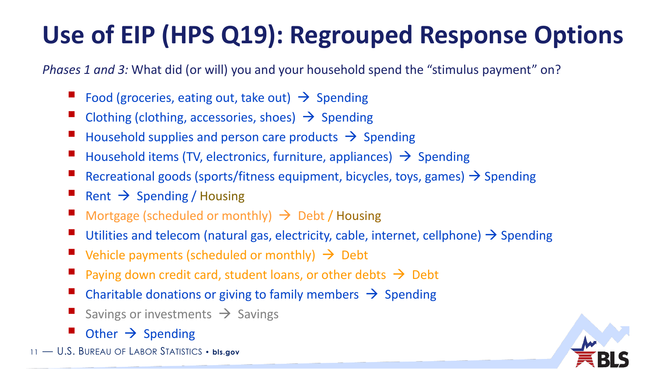### **Use of EIP (HPS Q19): Regrouped Response Options**

*Phases 1 and 3:* What did (or will) you and your household spend the "stimulus payment" on?

- Food (groceries, eating out, take out)  $\rightarrow$  Spending
- Clothing (clothing, accessories, shoes)  $\rightarrow$  Spending
- Household supplies and person care products  $\rightarrow$  Spending
- Household items (TV, electronics, furniture, appliances)  $\rightarrow$  Spending
- Recreational goods (sports/fitness equipment, bicycles, toys, games)  $\rightarrow$  Spending
- Rent  $\rightarrow$  Spending / Housing
- Mortgage (scheduled or monthly)  $\rightarrow$  Debt / Housing
- Utilities and telecom (natural gas, electricity, cable, internet, cellphone)  $\rightarrow$  Spending
- $\blacksquare$  Vehicle payments (scheduled or monthly)  $\rightarrow$  Debt
- Paying down credit card, student loans, or other debts  $\rightarrow$  Debt
- Charitable donations or giving to family members  $\rightarrow$  Spending
- Savings or investments  $\rightarrow$  Savings
- Other  $\rightarrow$  Spending
- 11 U.S. BUREAU OF LABOR STATISTICS **bls.gov**

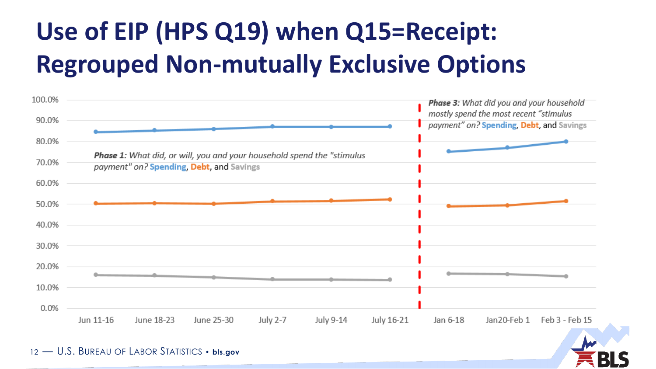# **Use of EIP (HPS Q19) when Q15=Receipt: Regrouped Non-mutually Exclusive Options**

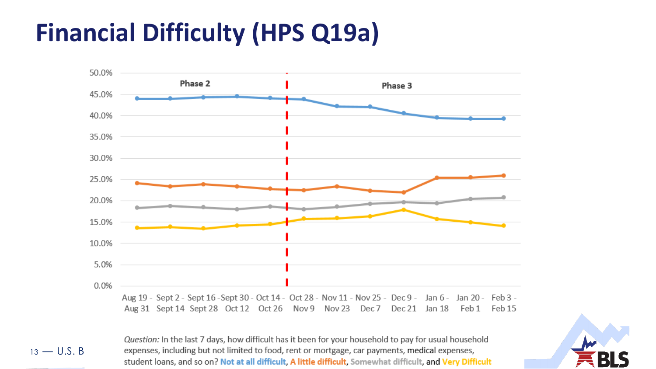### **Financial Difficulty (HPS Q19a)**



Question: In the last 7 days, how difficult has it been for your household to pay for usual household 13 — U.S. B expenses, including but not limited to food, rent or mortgage, car payments, medical expenses, expenses, including but not limited to lood, rent of<br>etudent loops, and so on? Not at all difficult. A litt • **bls.gov**

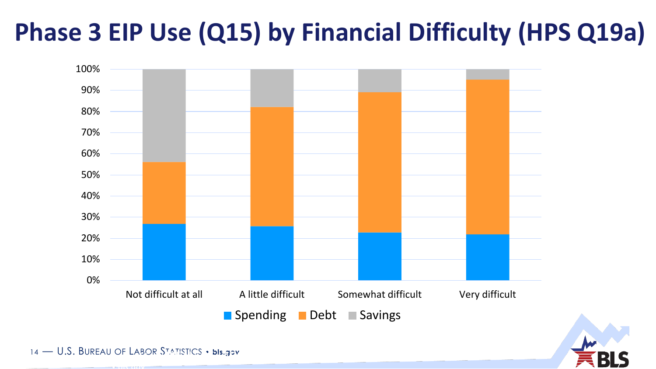### **Phase 3 EIP Use (Q15) by Financial Difficulty (HPS Q19a)**





14 — U.S. BUREAU OF LABOR STATISTICS • **bls.gov** <sup>14</sup> — U.S. BUREAU OF LABOR STATISTICS

• **bls.gov**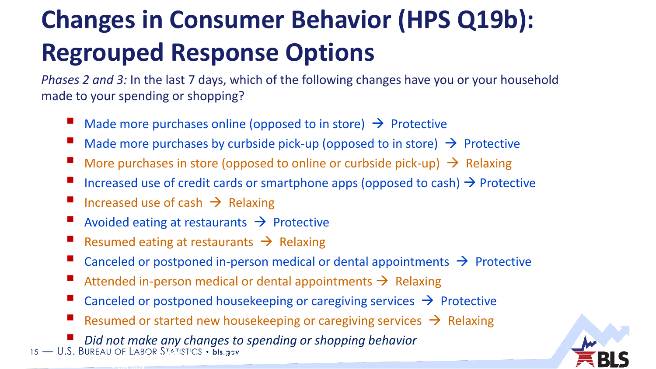# **Changes in Consumer Behavior (HPS Q19b): Regrouped Response Options**

*Phases 2 and 3:* In the last 7 days, which of the following changes have you or your household made to your spending or shopping?

- Made more purchases online (opposed to in store)  $\rightarrow$  Protective
- Made more purchases by curbside pick-up (opposed to in store)  $\rightarrow$  Protective
- More purchases in store (opposed to online or curbside pick-up)  $\rightarrow$  Relaxing
- Increased use of credit cards or smartphone apps (opposed to cash)  $\rightarrow$  Protective
- Increased use of cash  $\rightarrow$  Relaxing

• **bls.gov**

- Avoided eating at restaurants  $\rightarrow$  Protective
- Resumed eating at restaurants  $\rightarrow$  Relaxing
- Canceled or postponed in-person medical or dental appointments  $\rightarrow$  Protective
- Attended in-person medical or dental appointments  $\rightarrow$  Relaxing
- Canceled or postponed housekeeping or caregiving services  $\rightarrow$  Protective
- Resumed or started new housekeeping or caregiving services  $\rightarrow$  Relaxing

15 — U.S. BUREAU OF LABOR STATISTICS • **bls.gov** *Did not make any changes to spending or shopping behavior*  OF LABOR STATISTICS . bis.gov

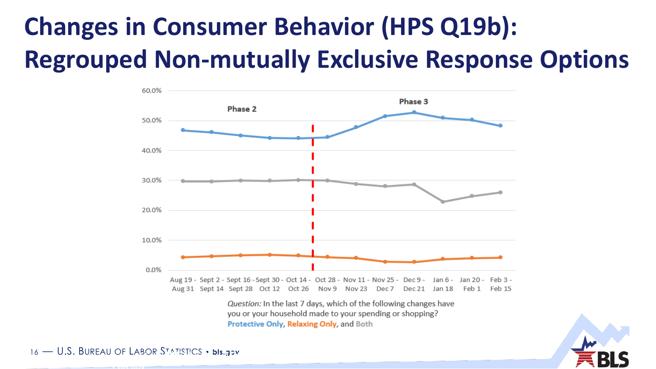## **Changes in Consumer Behavior (HPS Q19b): Regrouped Non-mutually Exclusive Response Options**



Protective Only, Relaxing Only, and Both



16 — U.S. BUREAU OF LABOR STATISTICS • **bls.gov** <sup>16</sup> — U.S. BUREAU OF LABOR STATISTICS

• **bls.gov**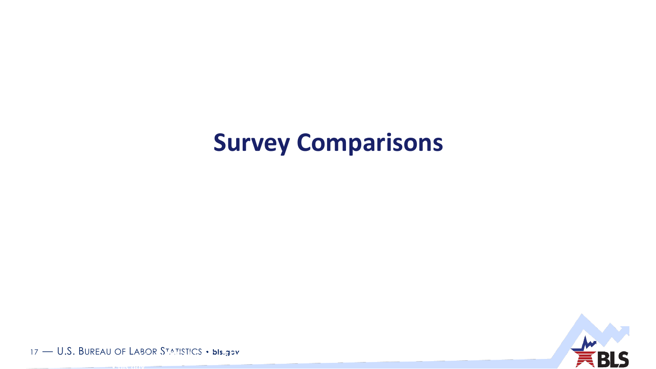#### **Survey Comparisons**



17 — U.S. BUREAU OF LABOR STATISTICS • **bls.gov** <sup>17</sup> — U.S. BUREAU OF LABOR STATISTICS

• **bls.gov**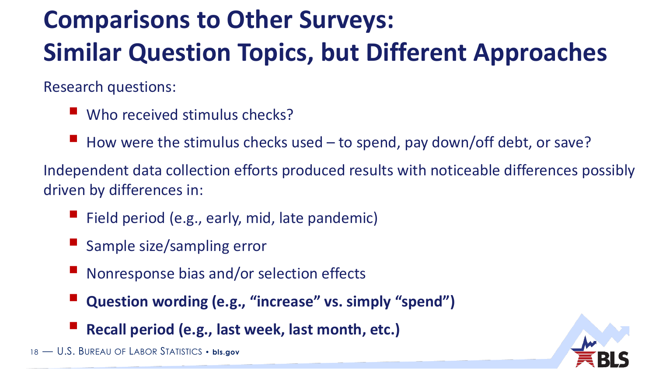# **Comparisons to Other Surveys: Similar Question Topics, but Different Approaches**

Research questions:

- Who received stimulus checks?
- $\blacksquare$  How were the stimulus checks used  $-$  to spend, pay down/off debt, or save?

Independent data collection efforts produced results with noticeable differences possibly driven by differences in:

- Field period (e.g., early, mid, late pandemic)
- Sample size/sampling error
- Nonresponse bias and/or selection effects
- **Question wording (e.g., "increase" vs. simply "spend")**
- **Recall period (e.g., last week, last month, etc.)**

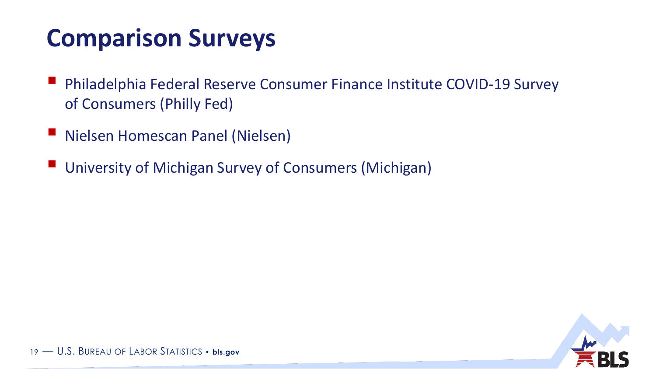### **Comparison Surveys**

- Philadelphia Federal Reserve Consumer Finance Institute COVID-19 Survey of Consumers (Philly Fed)
- Nielsen Homescan Panel (Nielsen)
- University of Michigan Survey of Consumers (Michigan)

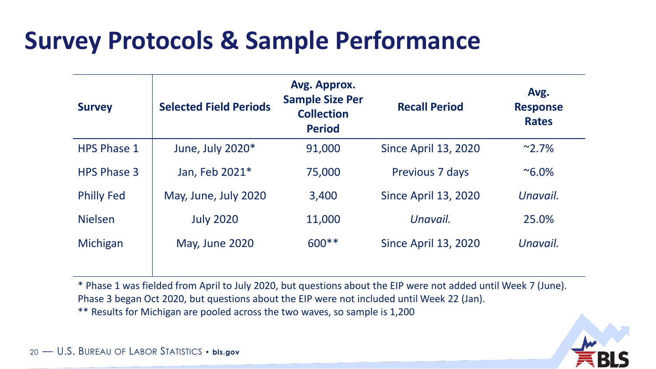#### **Survey Protocols & Sample Performance**

| <b>Survey</b>      | <b>Selected Field Periods</b> | Avg. Approx.<br><b>Sample Size Per</b><br><b>Collection</b><br><b>Period</b> | <b>Recall Period</b>        | Avg.<br><b>Response</b><br><b>Rates</b> |
|--------------------|-------------------------------|------------------------------------------------------------------------------|-----------------------------|-----------------------------------------|
| <b>HPS Phase 1</b> | June, July 2020*              | 91,000                                                                       | <b>Since April 13, 2020</b> | $^{\sim}$ 2.7%                          |
| <b>HPS Phase 3</b> | Jan, Feb 2021*                | 75,000                                                                       | Previous 7 days             | $^{\sim}6.0\%$                          |
| <b>Philly Fed</b>  | May, June, July 2020          | 3,400                                                                        | <b>Since April 13, 2020</b> | Unavail.                                |
| <b>Nielsen</b>     | <b>July 2020</b>              | 11,000                                                                       | Unavail.                    | 25.0%                                   |
| Michigan           | May, June 2020                | $600**$                                                                      | <b>Since April 13, 2020</b> | Unavail.                                |

\* Phase 1 was fielded from April to July 2020, but questions about the EIP were not added until Week 7 (June). Phase 3 began Oct 2020, but questions about the EIP were not included until Week 22 (Jan).

\*\* Results for Michigan are pooled across the two waves, so sample is 1,200

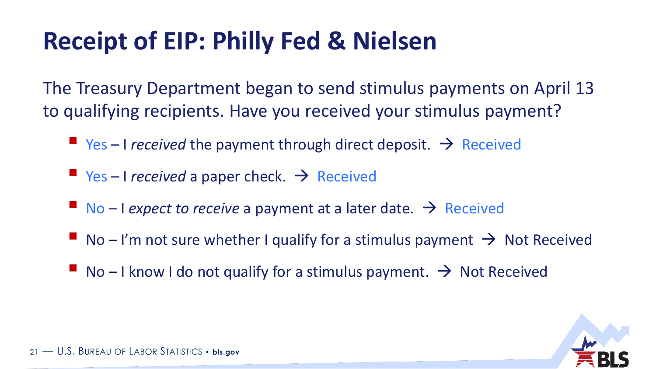### **Receipt of EIP: Philly Fed & Nielsen**

The Treasury Department began to send stimulus payments on April 13 to qualifying recipients. Have you received your stimulus payment?

- $\blacksquare$  Yes I *received* the payment through direct deposit.  $\rightarrow$  Received
- $\blacksquare$  Yes I *received* a paper check.  $\rightarrow$  Received
- $\blacksquare$  No I expect to receive a payment at a later date.  $\rightarrow$  Received
- $\blacksquare$  No I'm not sure whether I qualify for a stimulus payment  $\rightarrow$  Not Received
- No I know I do not qualify for a stimulus payment.  $\rightarrow$  Not Received

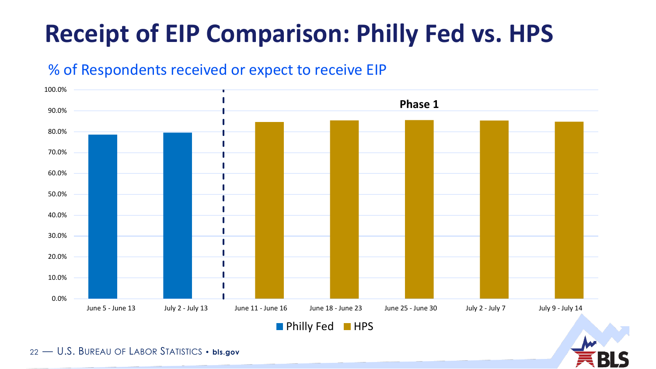### **Receipt of EIP Comparison: Philly Fed vs. HPS**

#### % of Respondents received or expect to receive EIP

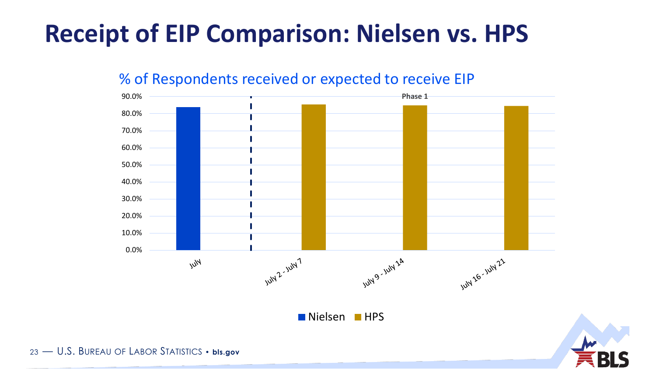### **Receipt of EIP Comparison: Nielsen vs. HPS**



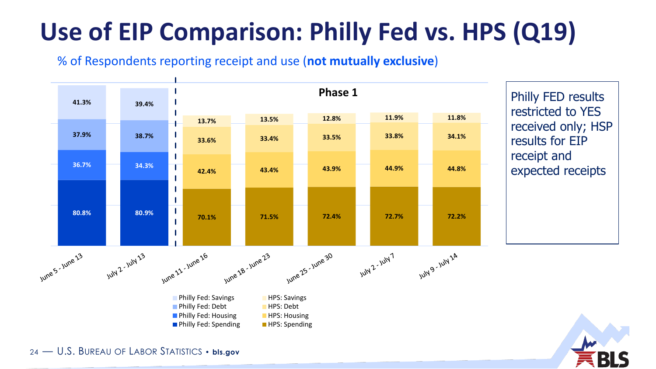# **Use of EIP Comparison: Philly Fed vs. HPS (Q19)**

#### % of Respondents reporting receipt and use (**not mutually exclusive**)



Philly FED results restricted to YES received only; HSP results for EIP receipt and expected receipts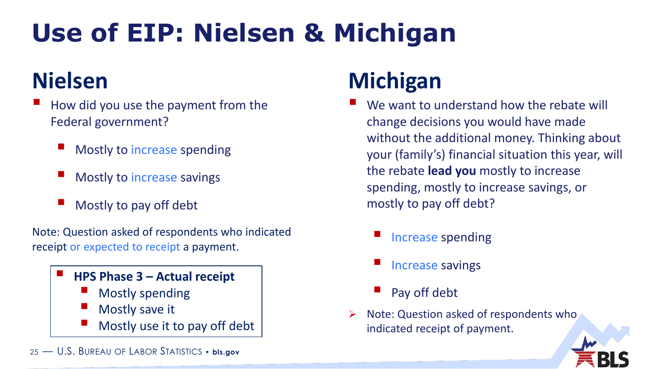# **Use of EIP: Nielsen & Michigan**

- How did you use the payment from the Federal government?
	- Mostly to increase spending
	- Mostly to increase savings
	- Mostly to pay off debt

Note: Question asked of respondents who indicated receipt or expected to receipt a payment.

#### **HPS Phase 3 – Actual receipt**

- Mostly spending
- Mostly save it
- Mostly use it to pay off debt
- 25 U.S. BUREAU OF LABOR STATISTICS **bls.gov**

#### **Nielsen Michigan**

- We want to understand how the rebate will change decisions you would have made without the additional money. Thinking about your (family's) financial situation this year, will the rebate **lead you** mostly to increase spending, mostly to increase savings, or mostly to pay off debt?
	- Increase spending
	- Increase savings
	- Pay off debt
- Note: Question asked of respondents who indicated receipt of payment.

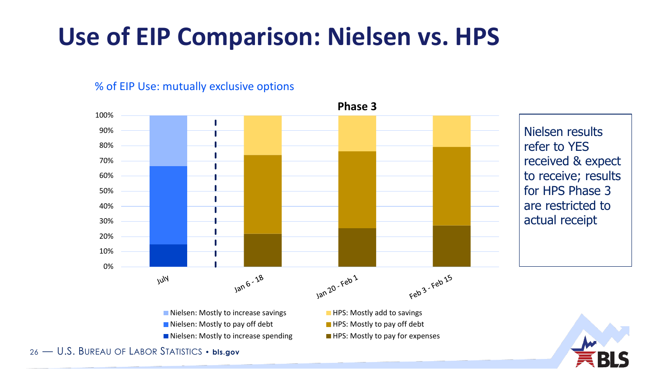#### **Use of EIP Comparison: Nielsen vs. HPS**

% of EIP Use: mutually exclusive options

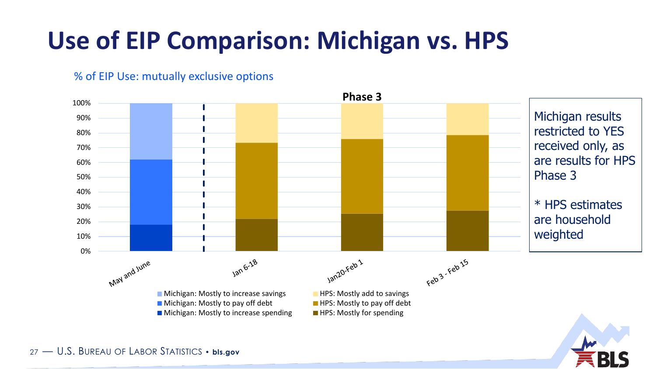### **Use of EIP Comparison: Michigan vs. HPS**



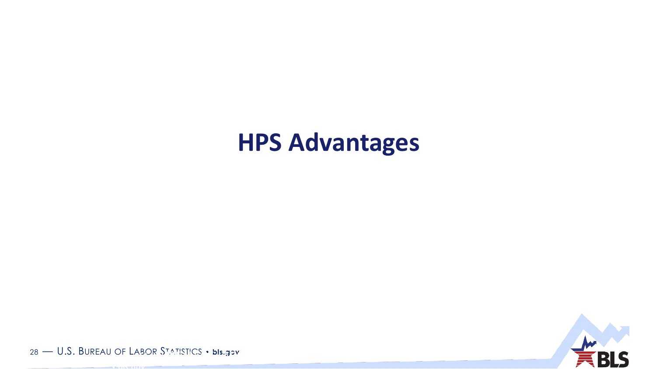#### **HPS Advantages**



28 — U.S. BUREAU OF LABOR STATISTICS • **bls.gov** <sup>28</sup> — U.S. BUREAU OF LABOR STATISTICS

• **bls.gov**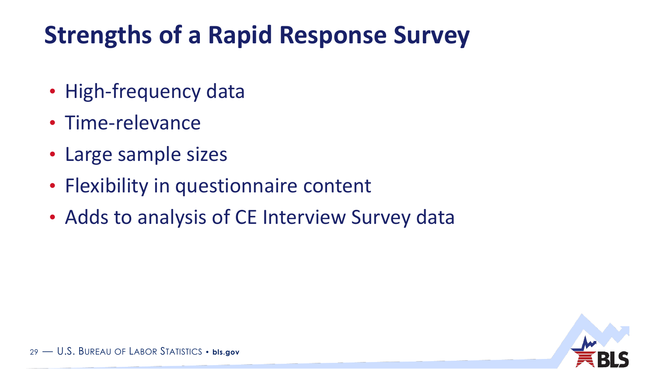### **Strengths of a Rapid Response Survey**

- High-frequency data
- Time-relevance
- Large sample sizes
- Flexibility in questionnaire content
- Adds to analysis of CE Interview Survey data

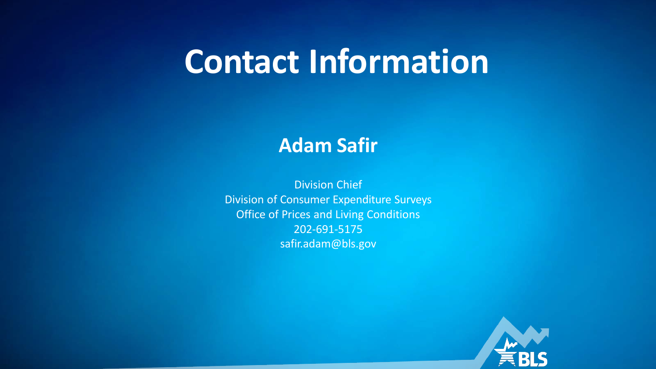# **Contact Information**

#### **Adam Safir**

Division Chief Division of Consumer Expenditure Surveys Office of Prices and Living Conditions 202-691-5175 safir.adam@bls.gov

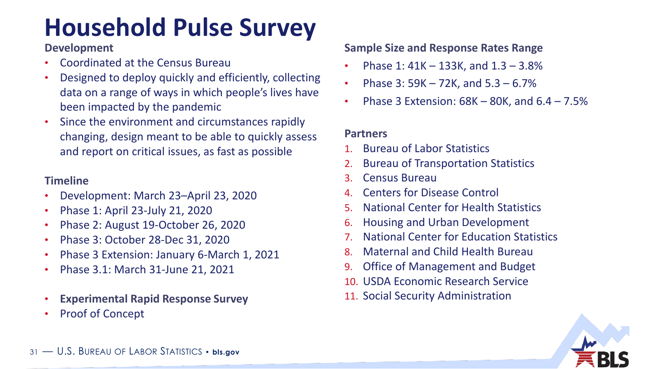## **Household Pulse Survey**

#### **Development**

- Coordinated at the Census Bureau
- Designed to deploy quickly and efficiently, collecting data on a range of ways in which people's lives have been impacted by the pandemic
- Since the environment and circumstances rapidly changing, design meant to be able to quickly assess and report on critical issues, as fast as possible

#### **Timeline**

- Development: March 23–April 23, 2020
- Phase 1: April 23-July 21, 2020
- Phase 2: August 19-October 26, 2020
- Phase 3: October 28-Dec 31, 2020
- Phase 3 Extension: January 6-March 1, 2021
- Phase 3.1: March 31-June 21, 2021
- **Experimental Rapid Response Survey**
- Proof of Concept

#### **Sample Size and Response Rates Range**

- Phase 1: 41K 133K, and 1.3 3.8%
- Phase 3: 59K 72K, and 5.3 6.7%
- Phase 3 Extension:  $68K 80K$ , and  $6.4 7.5%$

#### **Partners**

- 1. Bureau of Labor Statistics
- 2. Bureau of Transportation Statistics
- 3. Census Bureau
- 4. Centers for Disease Control
- 5. National Center for Health Statistics
- 6. Housing and Urban Development
- 7. National Center for Education Statistics
- 8. Maternal and Child Health Bureau
- 9. Office of Management and Budget
- 10. USDA Economic Research Service
- 11. Social Security Administration

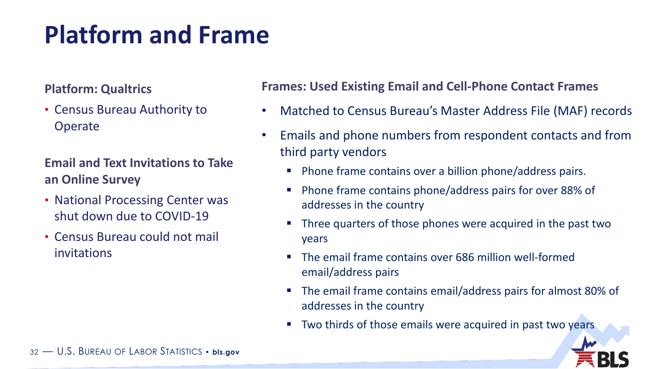### **Platform and Frame**

#### **Platform: Qualtrics**

• Census Bureau Authority to **Operate** 

#### **Email and Text Invitations to Take an Online Survey**

- National Processing Center was shut down due to COVID-19
- Census Bureau could not mail invitations

#### **Frames: Used Existing Email and Cell-Phone Contact Frames**

- Matched to Census Bureau's Master Address File (MAF) records
- Emails and phone numbers from respondent contacts and from third party vendors
	- **Phone frame contains over a billion phone/address pairs.**
	- Phone frame contains phone/address pairs for over 88% of addresses in the country
	- Three quarters of those phones were acquired in the past two years
	- **The email frame contains over 686 million well-formed** email/address pairs
	- The email frame contains email/address pairs for almost 80% of addresses in the country
	- **Two thirds of those emails were acquired in past two years**